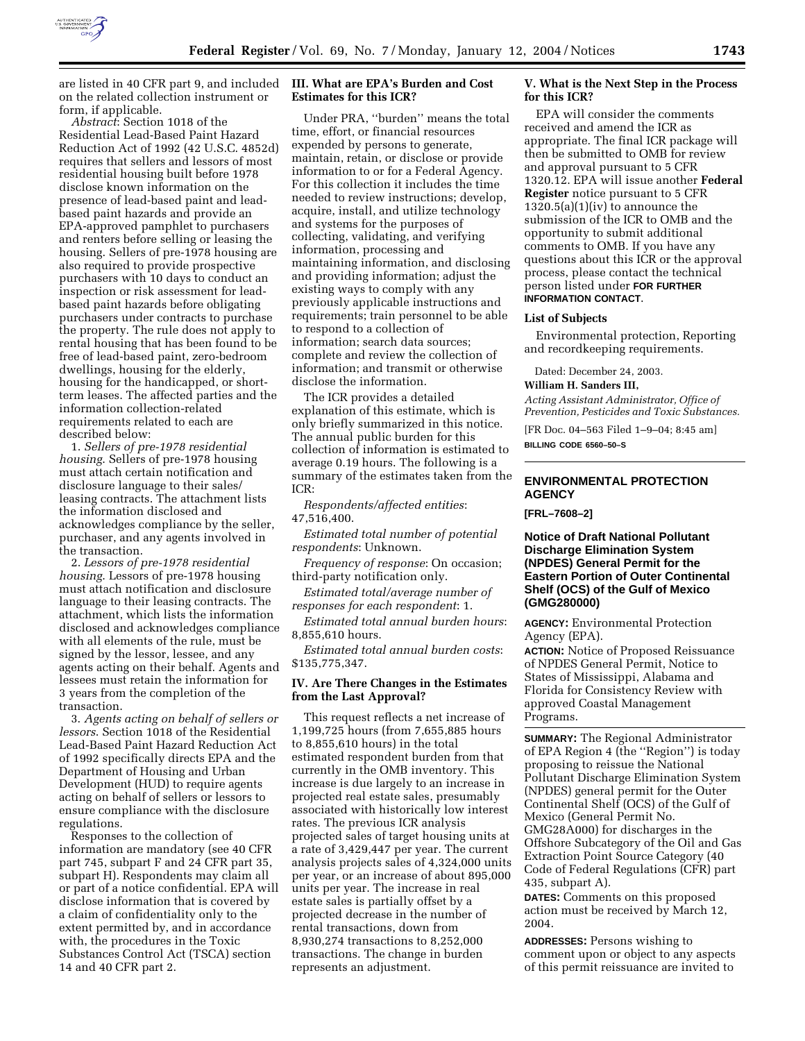

are listed in 40 CFR part 9, and included on the related collection instrument or form, if applicable.

*Abstract*: Section 1018 of the Residential Lead-Based Paint Hazard Reduction Act of 1992 (42 U.S.C. 4852d) requires that sellers and lessors of most residential housing built before 1978 disclose known information on the presence of lead-based paint and leadbased paint hazards and provide an EPA-approved pamphlet to purchasers and renters before selling or leasing the housing. Sellers of pre-1978 housing are also required to provide prospective purchasers with 10 days to conduct an inspection or risk assessment for leadbased paint hazards before obligating purchasers under contracts to purchase the property. The rule does not apply to rental housing that has been found to be free of lead-based paint, zero-bedroom dwellings, housing for the elderly, housing for the handicapped, or shortterm leases. The affected parties and the information collection-related requirements related to each are described below:

1. *Sellers of pre-1978 residential housing*. Sellers of pre-1978 housing must attach certain notification and disclosure language to their sales/ leasing contracts. The attachment lists the information disclosed and acknowledges compliance by the seller, purchaser, and any agents involved in the transaction.

2. *Lessors of pre-1978 residential housing*. Lessors of pre-1978 housing must attach notification and disclosure language to their leasing contracts. The attachment, which lists the information disclosed and acknowledges compliance with all elements of the rule, must be signed by the lessor, lessee, and any agents acting on their behalf. Agents and lessees must retain the information for 3 years from the completion of the transaction.

3. *Agents acting on behalf of sellers or lessors*. Section 1018 of the Residential Lead-Based Paint Hazard Reduction Act of 1992 specifically directs EPA and the Department of Housing and Urban Development (HUD) to require agents acting on behalf of sellers or lessors to ensure compliance with the disclosure regulations.

Responses to the collection of information are mandatory (see 40 CFR part 745, subpart F and 24 CFR part 35, subpart H). Respondents may claim all or part of a notice confidential. EPA will disclose information that is covered by a claim of confidentiality only to the extent permitted by, and in accordance with, the procedures in the Toxic Substances Control Act (TSCA) section 14 and 40 CFR part 2.

# **III. What are EPA's Burden and Cost Estimates for this ICR?**

Under PRA, ''burden'' means the total time, effort, or financial resources expended by persons to generate, maintain, retain, or disclose or provide information to or for a Federal Agency. For this collection it includes the time needed to review instructions; develop, acquire, install, and utilize technology and systems for the purposes of collecting, validating, and verifying information, processing and maintaining information, and disclosing and providing information; adjust the existing ways to comply with any previously applicable instructions and requirements; train personnel to be able to respond to a collection of information; search data sources; complete and review the collection of information; and transmit or otherwise disclose the information.

The ICR provides a detailed explanation of this estimate, which is only briefly summarized in this notice. The annual public burden for this collection of information is estimated to average 0.19 hours. The following is a summary of the estimates taken from the  $ICR$ 

*Respondents/affected entities*: 47,516,400.

*Estimated total number of potential respondents*: Unknown.

*Frequency of response*: On occasion; third-party notification only.

*Estimated total/average number of responses for each respondent*: 1.

*Estimated total annual burden hours*: 8,855,610 hours.

*Estimated total annual burden costs*: \$135,775,347.

# **IV. Are There Changes in the Estimates from the Last Approval?**

This request reflects a net increase of 1,199,725 hours (from 7,655,885 hours to 8,855,610 hours) in the total estimated respondent burden from that currently in the OMB inventory. This increase is due largely to an increase in projected real estate sales, presumably associated with historically low interest rates. The previous ICR analysis projected sales of target housing units at a rate of 3,429,447 per year. The current analysis projects sales of 4,324,000 units per year, or an increase of about 895,000 units per year. The increase in real estate sales is partially offset by a projected decrease in the number of rental transactions, down from 8,930,274 transactions to 8,252,000 transactions. The change in burden represents an adjustment.

### **V. What is the Next Step in the Process for this ICR?**

EPA will consider the comments received and amend the ICR as appropriate. The final ICR package will then be submitted to OMB for review and approval pursuant to 5 CFR 1320.12. EPA will issue another **Federal Register** notice pursuant to 5 CFR  $1320.5(a)(1)(iv)$  to announce the submission of the ICR to OMB and the opportunity to submit additional comments to OMB. If you have any questions about this ICR or the approval process, please contact the technical person listed under **FOR FURTHER INFORMATION CONTACT**.

#### **List of Subjects**

Environmental protection, Reporting and recordkeeping requirements.

Dated: December 24, 2003.

#### **William H. Sanders III,**

*Acting Assistant Administrator, Office of Prevention, Pesticides and Toxic Substances.*

[FR Doc. 04–563 Filed 1–9–04; 8:45 am] **BILLING CODE 6560–50–S**

## **ENVIRONMENTAL PROTECTION AGENCY**

**[FRL–7608–2]** 

## **Notice of Draft National Pollutant Discharge Elimination System (NPDES) General Permit for the Eastern Portion of Outer Continental Shelf (OCS) of the Gulf of Mexico (GMG280000)**

**AGENCY:** Environmental Protection Agency (EPA).

**ACTION:** Notice of Proposed Reissuance of NPDES General Permit, Notice to States of Mississippi, Alabama and Florida for Consistency Review with approved Coastal Management Programs.

**SUMMARY:** The Regional Administrator of EPA Region 4 (the ''Region'') is today proposing to reissue the National Pollutant Discharge Elimination System (NPDES) general permit for the Outer Continental Shelf (OCS) of the Gulf of Mexico (General Permit No. GMG28A000) for discharges in the Offshore Subcategory of the Oil and Gas Extraction Point Source Category (40 Code of Federal Regulations (CFR) part 435, subpart A).

**DATES:** Comments on this proposed action must be received by March 12, 2004.

**ADDRESSES:** Persons wishing to comment upon or object to any aspects of this permit reissuance are invited to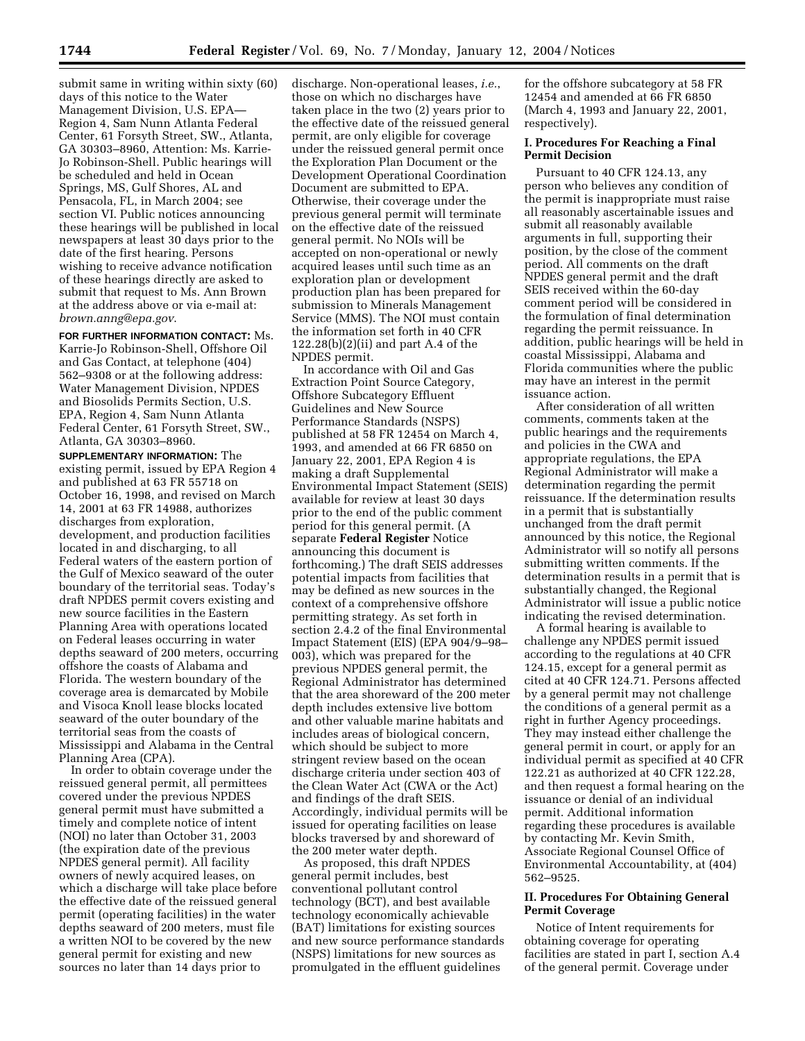submit same in writing within sixty (60) days of this notice to the Water Management Division, U.S. EPA— Region 4, Sam Nunn Atlanta Federal Center, 61 Forsyth Street, SW., Atlanta, GA 30303–8960, Attention: Ms. Karrie-Jo Robinson-Shell. Public hearings will be scheduled and held in Ocean Springs, MS, Gulf Shores, AL and Pensacola, FL, in March 2004; see section VI. Public notices announcing these hearings will be published in local newspapers at least 30 days prior to the date of the first hearing. Persons wishing to receive advance notification of these hearings directly are asked to submit that request to Ms. Ann Brown at the address above or via e-mail at: *brown.anng@epa.gov*.

**FOR FURTHER INFORMATION CONTACT:** Ms. Karrie-Jo Robinson-Shell, Offshore Oil and Gas Contact, at telephone (404) 562–9308 or at the following address: Water Management Division, NPDES and Biosolids Permits Section, U.S. EPA, Region 4, Sam Nunn Atlanta Federal Center, 61 Forsyth Street, SW., Atlanta, GA 30303–8960.

**SUPPLEMENTARY INFORMATION:** The existing permit, issued by EPA Region 4 and published at 63 FR 55718 on October 16, 1998, and revised on March 14, 2001 at 63 FR 14988, authorizes discharges from exploration, development, and production facilities located in and discharging, to all Federal waters of the eastern portion of the Gulf of Mexico seaward of the outer boundary of the territorial seas. Today's draft NPDES permit covers existing and new source facilities in the Eastern Planning Area with operations located on Federal leases occurring in water depths seaward of 200 meters, occurring offshore the coasts of Alabama and Florida. The western boundary of the coverage area is demarcated by Mobile and Visoca Knoll lease blocks located seaward of the outer boundary of the territorial seas from the coasts of Mississippi and Alabama in the Central Planning Area (CPA).

In order to obtain coverage under the reissued general permit, all permittees covered under the previous NPDES general permit must have submitted a timely and complete notice of intent (NOI) no later than October 31, 2003 (the expiration date of the previous NPDES general permit). All facility owners of newly acquired leases, on which a discharge will take place before the effective date of the reissued general permit (operating facilities) in the water depths seaward of 200 meters, must file a written NOI to be covered by the new general permit for existing and new sources no later than 14 days prior to

discharge. Non-operational leases, *i.e.*, those on which no discharges have taken place in the two (2) years prior to the effective date of the reissued general permit, are only eligible for coverage under the reissued general permit once the Exploration Plan Document or the Development Operational Coordination Document are submitted to EPA. Otherwise, their coverage under the previous general permit will terminate on the effective date of the reissued general permit. No NOIs will be accepted on non-operational or newly acquired leases until such time as an exploration plan or development production plan has been prepared for submission to Minerals Management Service (MMS). The NOI must contain the information set forth in 40 CFR 122.28(b)(2)(ii) and part A.4 of the NPDES permit.

In accordance with Oil and Gas Extraction Point Source Category, Offshore Subcategory Effluent Guidelines and New Source Performance Standards (NSPS) published at 58 FR 12454 on March 4, 1993, and amended at 66 FR 6850 on January 22, 2001, EPA Region 4 is making a draft Supplemental Environmental Impact Statement (SEIS) available for review at least 30 days prior to the end of the public comment period for this general permit. (A separate **Federal Register** Notice announcing this document is forthcoming.) The draft SEIS addresses potential impacts from facilities that may be defined as new sources in the context of a comprehensive offshore permitting strategy. As set forth in section 2.4.2 of the final Environmental Impact Statement (EIS) (EPA 904/9–98– 003), which was prepared for the previous NPDES general permit, the Regional Administrator has determined that the area shoreward of the 200 meter depth includes extensive live bottom and other valuable marine habitats and includes areas of biological concern, which should be subject to more stringent review based on the ocean discharge criteria under section 403 of the Clean Water Act (CWA or the Act) and findings of the draft SEIS. Accordingly, individual permits will be issued for operating facilities on lease blocks traversed by and shoreward of the 200 meter water depth.

As proposed, this draft NPDES general permit includes, best conventional pollutant control technology (BCT), and best available technology economically achievable (BAT) limitations for existing sources and new source performance standards (NSPS) limitations for new sources as promulgated in the effluent guidelines

for the offshore subcategory at 58 FR 12454 and amended at 66 FR 6850 (March 4, 1993 and January 22, 2001, respectively).

# **I. Procedures For Reaching a Final Permit Decision**

Pursuant to 40 CFR 124.13, any person who believes any condition of the permit is inappropriate must raise all reasonably ascertainable issues and submit all reasonably available arguments in full, supporting their position, by the close of the comment period. All comments on the draft NPDES general permit and the draft SEIS received within the 60-day comment period will be considered in the formulation of final determination regarding the permit reissuance. In addition, public hearings will be held in coastal Mississippi, Alabama and Florida communities where the public may have an interest in the permit issuance action.

After consideration of all written comments, comments taken at the public hearings and the requirements and policies in the CWA and appropriate regulations, the EPA Regional Administrator will make a determination regarding the permit reissuance. If the determination results in a permit that is substantially unchanged from the draft permit announced by this notice, the Regional Administrator will so notify all persons submitting written comments. If the determination results in a permit that is substantially changed, the Regional Administrator will issue a public notice indicating the revised determination.

A formal hearing is available to challenge any NPDES permit issued according to the regulations at 40 CFR 124.15, except for a general permit as cited at 40 CFR 124.71. Persons affected by a general permit may not challenge the conditions of a general permit as a right in further Agency proceedings. They may instead either challenge the general permit in court, or apply for an individual permit as specified at 40 CFR 122.21 as authorized at 40 CFR 122.28, and then request a formal hearing on the issuance or denial of an individual permit. Additional information regarding these procedures is available by contacting Mr. Kevin Smith, Associate Regional Counsel Office of Environmental Accountability, at (404) 562–9525.

## **II. Procedures For Obtaining General Permit Coverage**

Notice of Intent requirements for obtaining coverage for operating facilities are stated in part I, section A.4 of the general permit. Coverage under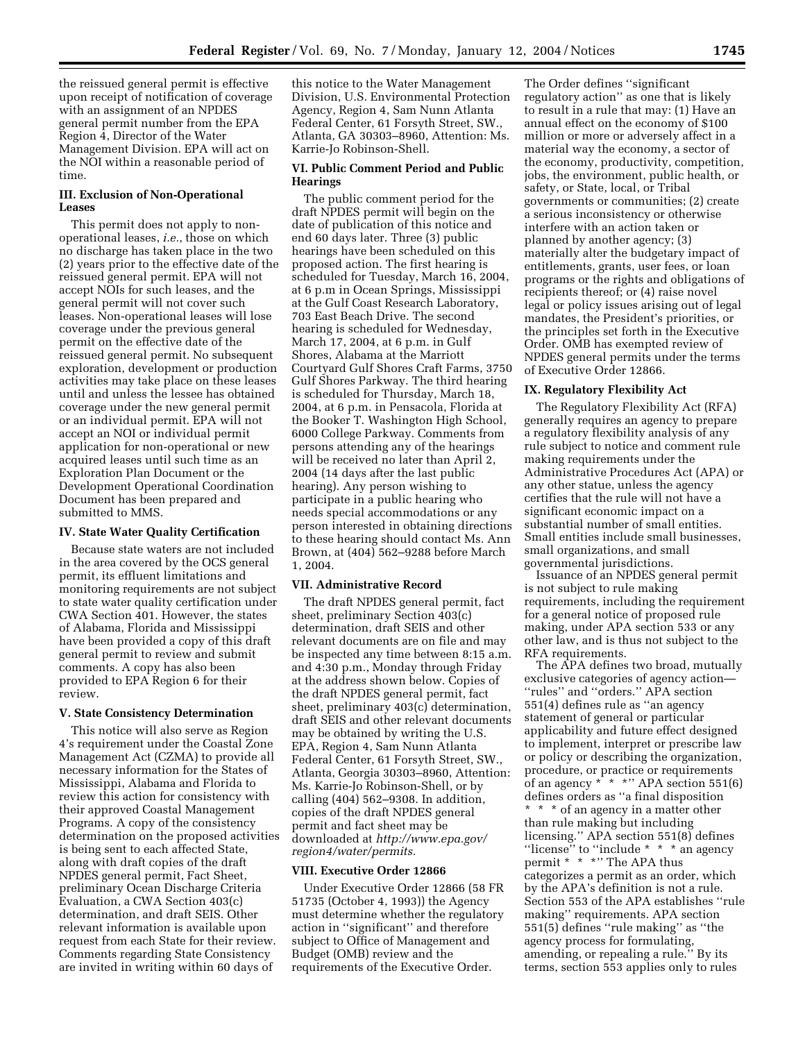the reissued general permit is effective upon receipt of notification of coverage with an assignment of an NPDES general permit number from the EPA Region 4, Director of the Water Management Division. EPA will act on the NOI within a reasonable period of time.

## **III. Exclusion of Non-Operational Leases**

This permit does not apply to nonoperational leases, *i.e.*, those on which no discharge has taken place in the two (2) years prior to the effective date of the reissued general permit. EPA will not accept NOIs for such leases, and the general permit will not cover such leases. Non-operational leases will lose coverage under the previous general permit on the effective date of the reissued general permit. No subsequent exploration, development or production activities may take place on these leases until and unless the lessee has obtained coverage under the new general permit or an individual permit. EPA will not accept an NOI or individual permit application for non-operational or new acquired leases until such time as an Exploration Plan Document or the Development Operational Coordination Document has been prepared and submitted to MMS.

#### **IV. State Water Quality Certification**

Because state waters are not included in the area covered by the OCS general permit, its effluent limitations and monitoring requirements are not subject to state water quality certification under CWA Section 401. However, the states of Alabama, Florida and Mississippi have been provided a copy of this draft general permit to review and submit comments. A copy has also been provided to EPA Region 6 for their review.

#### **V. State Consistency Determination**

This notice will also serve as Region 4's requirement under the Coastal Zone Management Act (CZMA) to provide all necessary information for the States of Mississippi, Alabama and Florida to review this action for consistency with their approved Coastal Management Programs. A copy of the consistency determination on the proposed activities is being sent to each affected State, along with draft copies of the draft NPDES general permit, Fact Sheet, preliminary Ocean Discharge Criteria Evaluation, a CWA Section 403(c) determination, and draft SEIS. Other relevant information is available upon request from each State for their review. Comments regarding State Consistency are invited in writing within 60 days of

this notice to the Water Management Division, U.S. Environmental Protection Agency, Region 4, Sam Nunn Atlanta Federal Center, 61 Forsyth Street, SW., Atlanta, GA 30303–8960, Attention: Ms. Karrie-Jo Robinson-Shell.

#### **VI. Public Comment Period and Public Hearings**

The public comment period for the draft NPDES permit will begin on the date of publication of this notice and end 60 days later. Three (3) public hearings have been scheduled on this proposed action. The first hearing is scheduled for Tuesday, March 16, 2004, at 6 p.m in Ocean Springs, Mississippi at the Gulf Coast Research Laboratory, 703 East Beach Drive. The second hearing is scheduled for Wednesday, March 17, 2004, at 6 p.m. in Gulf Shores, Alabama at the Marriott Courtyard Gulf Shores Craft Farms, 3750 Gulf Shores Parkway. The third hearing is scheduled for Thursday, March 18, 2004, at 6 p.m. in Pensacola, Florida at the Booker T. Washington High School, 6000 College Parkway. Comments from persons attending any of the hearings will be received no later than April 2, 2004 (14 days after the last public hearing). Any person wishing to participate in a public hearing who needs special accommodations or any person interested in obtaining directions to these hearing should contact Ms. Ann Brown, at (404) 562–9288 before March 1, 2004.

#### **VII. Administrative Record**

The draft NPDES general permit, fact sheet, preliminary Section 403(c) determination, draft SEIS and other relevant documents are on file and may be inspected any time between 8:15 a.m. and 4:30 p.m., Monday through Friday at the address shown below. Copies of the draft NPDES general permit, fact sheet, preliminary 403(c) determination, draft SEIS and other relevant documents may be obtained by writing the U.S. EPA, Region 4, Sam Nunn Atlanta Federal Center, 61 Forsyth Street, SW., Atlanta, Georgia 30303–8960, Attention: Ms. Karrie-Jo Robinson-Shell, or by calling (404) 562–9308. In addition, copies of the draft NPDES general permit and fact sheet may be downloaded at *http://www.epa.gov/ region4/water/permits.*

### **VIII. Executive Order 12866**

Under Executive Order 12866 (58 FR 51735 (October 4, 1993)) the Agency must determine whether the regulatory action in ''significant'' and therefore subject to Office of Management and Budget (OMB) review and the requirements of the Executive Order.

The Order defines ''significant regulatory action'' as one that is likely to result in a rule that may: (1) Have an annual effect on the economy of \$100 million or more or adversely affect in a material way the economy, a sector of the economy, productivity, competition, jobs, the environment, public health, or safety, or State, local, or Tribal governments or communities; (2) create a serious inconsistency or otherwise interfere with an action taken or planned by another agency; (3) materially alter the budgetary impact of entitlements, grants, user fees, or loan programs or the rights and obligations of recipients thereof; or (4) raise novel legal or policy issues arising out of legal mandates, the President's priorities, or the principles set forth in the Executive Order. OMB has exempted review of NPDES general permits under the terms of Executive Order 12866.

#### **IX. Regulatory Flexibility Act**

The Regulatory Flexibility Act (RFA) generally requires an agency to prepare a regulatory flexibility analysis of any rule subject to notice and comment rule making requirements under the Administrative Procedures Act (APA) or any other statue, unless the agency certifies that the rule will not have a significant economic impact on a substantial number of small entities. Small entities include small businesses, small organizations, and small governmental jurisdictions.

Issuance of an NPDES general permit is not subject to rule making requirements, including the requirement for a general notice of proposed rule making, under APA section 533 or any other law, and is thus not subject to the RFA requirements.

The APA defines two broad, mutually exclusive categories of agency action— ''rules'' and ''orders.'' APA section 551(4) defines rule as ''an agency statement of general or particular applicability and future effect designed to implement, interpret or prescribe law or policy or describing the organization, procedure, or practice or requirements of an agency  $* * * "APA section 551(6)$ defines orders as ''a final disposition \* \* \* of an agency in a matter other than rule making but including licensing.'' APA section 551(8) defines "license" to "include  $* * *$  an agency permit \* \* \*'' The APA thus categorizes a permit as an order, which by the APA's definition is not a rule. Section 553 of the APA establishes ''rule making'' requirements. APA section 551(5) defines ''rule making'' as ''the agency process for formulating, amending, or repealing a rule.'' By its terms, section 553 applies only to rules